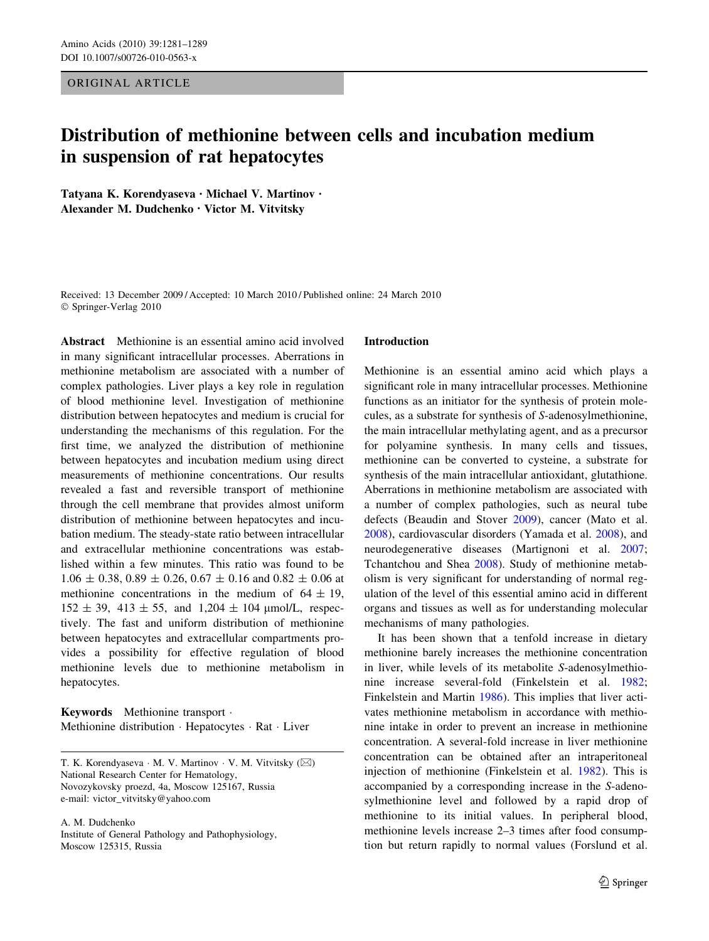# ORIGINAL ARTICLE

# Distribution of methionine between cells and incubation medium in suspension of rat hepatocytes

Tatyana K. Korendyaseva • Michael V. Martinov • Alexander M. Dudchenko • Victor M. Vitvitsky

Received: 13 December 2009 / Accepted: 10 March 2010 / Published online: 24 March 2010 © Springer-Verlag 2010

Abstract Methionine is an essential amino acid involved in many significant intracellular processes. Aberrations in methionine metabolism are associated with a number of complex pathologies. Liver plays a key role in regulation of blood methionine level. Investigation of methionine distribution between hepatocytes and medium is crucial for understanding the mechanisms of this regulation. For the first time, we analyzed the distribution of methionine between hepatocytes and incubation medium using direct measurements of methionine concentrations. Our results revealed a fast and reversible transport of methionine through the cell membrane that provides almost uniform distribution of methionine between hepatocytes and incubation medium. The steady-state ratio between intracellular and extracellular methionine concentrations was established within a few minutes. This ratio was found to be  $1.06 \pm 0.38$ ,  $0.89 \pm 0.26$ ,  $0.67 \pm 0.16$  and  $0.82 \pm 0.06$  at methionine concentrations in the medium of  $64 \pm 19$ ,  $152 \pm 39$ ,  $413 \pm 55$ , and  $1,204 \pm 104$  µmol/L, respectively. The fast and uniform distribution of methionine between hepatocytes and extracellular compartments provides a possibility for effective regulation of blood methionine levels due to methionine metabolism in hepatocytes.

Keywords Methionine transport - Methionine distribution · Hepatocytes · Rat · Liver

T. K. Korendyaseva · M. V. Martinov · V. M. Vitvitsky (⊠) National Research Center for Hematology, Novozykovsky proezd, 4a, Moscow 125167, Russia e-mail: victor\_vitvitsky@yahoo.com

A. M. Dudchenko

Institute of General Pathology and Pathophysiology, Moscow 125315, Russia

#### Introduction

Methionine is an essential amino acid which plays a significant role in many intracellular processes. Methionine functions as an initiator for the synthesis of protein molecules, as a substrate for synthesis of S-adenosylmethionine, the main intracellular methylating agent, and as a precursor for polyamine synthesis. In many cells and tissues, methionine can be converted to cysteine, a substrate for synthesis of the main intracellular antioxidant, glutathione. Aberrations in methionine metabolism are associated with a number of complex pathologies, such as neural tube defects (Beaudin and Stover [2009](#page-7-0)), cancer (Mato et al. [2008](#page-7-0)), cardiovascular disorders (Yamada et al. [2008\)](#page-8-0), and neurodegenerative diseases (Martignoni et al. [2007](#page-7-0); Tchantchou and Shea [2008\)](#page-8-0). Study of methionine metabolism is very significant for understanding of normal regulation of the level of this essential amino acid in different organs and tissues as well as for understanding molecular mechanisms of many pathologies.

It has been shown that a tenfold increase in dietary methionine barely increases the methionine concentration in liver, while levels of its metabolite S-adenosylmethionine increase several-fold (Finkelstein et al. [1982](#page-7-0); Finkelstein and Martin [1986\)](#page-7-0). This implies that liver activates methionine metabolism in accordance with methionine intake in order to prevent an increase in methionine concentration. A several-fold increase in liver methionine concentration can be obtained after an intraperitoneal injection of methionine (Finkelstein et al. [1982](#page-7-0)). This is accompanied by a corresponding increase in the S-adenosylmethionine level and followed by a rapid drop of methionine to its initial values. In peripheral blood, methionine levels increase 2–3 times after food consumption but return rapidly to normal values (Forslund et al.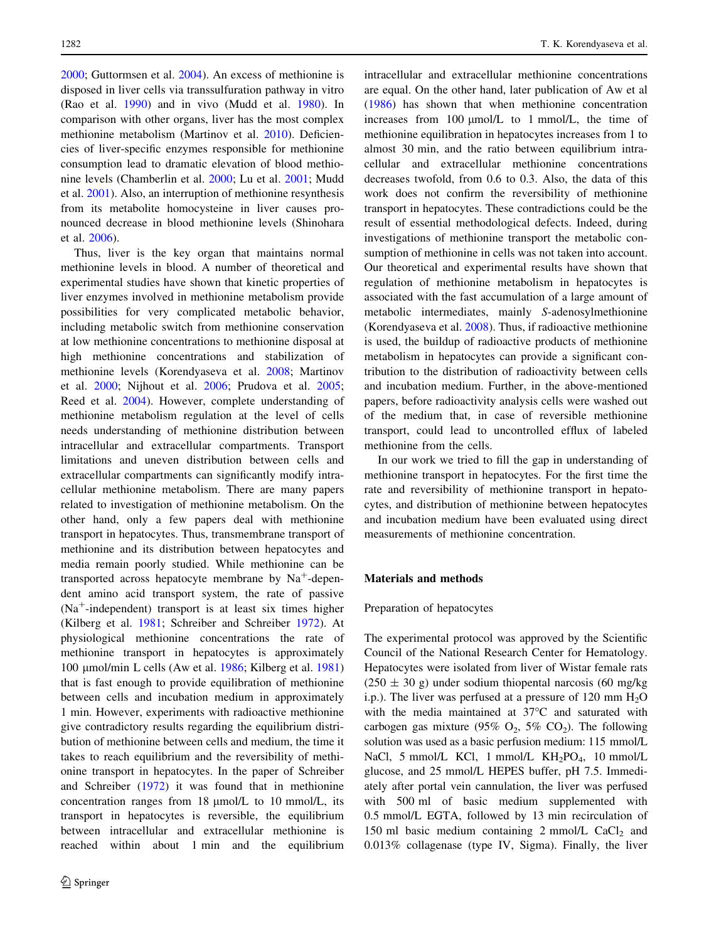[2000;](#page-7-0) Guttormsen et al. [2004\)](#page-7-0). An excess of methionine is disposed in liver cells via transsulfuration pathway in vitro (Rao et al. [1990\)](#page-8-0) and in vivo (Mudd et al. [1980\)](#page-7-0). In comparison with other organs, liver has the most complex methionine metabolism (Martinov et al. [2010\)](#page-7-0). Deficiencies of liver-specific enzymes responsible for methionine consumption lead to dramatic elevation of blood methionine levels (Chamberlin et al. [2000](#page-7-0); Lu et al. [2001](#page-7-0); Mudd et al. [2001\)](#page-7-0). Also, an interruption of methionine resynthesis from its metabolite homocysteine in liver causes pronounced decrease in blood methionine levels (Shinohara et al. [2006\)](#page-8-0).

Thus, liver is the key organ that maintains normal methionine levels in blood. A number of theoretical and experimental studies have shown that kinetic properties of liver enzymes involved in methionine metabolism provide possibilities for very complicated metabolic behavior, including metabolic switch from methionine conservation at low methionine concentrations to methionine disposal at high methionine concentrations and stabilization of methionine levels (Korendyaseva et al. [2008;](#page-7-0) Martinov et al. [2000;](#page-7-0) Nijhout et al. [2006](#page-7-0); Prudova et al. [2005](#page-8-0); Reed et al. [2004](#page-8-0)). However, complete understanding of methionine metabolism regulation at the level of cells needs understanding of methionine distribution between intracellular and extracellular compartments. Transport limitations and uneven distribution between cells and extracellular compartments can significantly modify intracellular methionine metabolism. There are many papers related to investigation of methionine metabolism. On the other hand, only a few papers deal with methionine transport in hepatocytes. Thus, transmembrane transport of methionine and its distribution between hepatocytes and media remain poorly studied. While methionine can be transported across hepatocyte membrane by  $Na<sup>+</sup>$ -dependent amino acid transport system, the rate of passive  $(Na^+$ -independent) transport is at least six times higher (Kilberg et al. [1981;](#page-7-0) Schreiber and Schreiber [1972\)](#page-8-0). At physiological methionine concentrations the rate of methionine transport in hepatocytes is approximately 100 μmol/min L cells (Aw et al. [1986;](#page-7-0) Kilberg et al. [1981\)](#page-7-0) that is fast enough to provide equilibration of methionine between cells and incubation medium in approximately 1 min. However, experiments with radioactive methionine give contradictory results regarding the equilibrium distribution of methionine between cells and medium, the time it takes to reach equilibrium and the reversibility of methionine transport in hepatocytes. In the paper of Schreiber and Schreiber ([1972\)](#page-8-0) it was found that in methionine concentration ranges from  $18 \mu$ mol/L to  $10 \mu$ mol/L, its transport in hepatocytes is reversible, the equilibrium between intracellular and extracellular methionine is reached within about 1 min and the equilibrium intracellular and extracellular methionine concentrations are equal. On the other hand, later publication of Aw et al [\(1986](#page-7-0)) has shown that when methionine concentration increases from  $100 \text{ µmol/L}$  to 1 mmol/L, the time of methionine equilibration in hepatocytes increases from 1 to almost 30 min, and the ratio between equilibrium intracellular and extracellular methionine concentrations decreases twofold, from 0.6 to 0.3. Also, the data of this work does not confirm the reversibility of methionine transport in hepatocytes. These contradictions could be the result of essential methodological defects. Indeed, during investigations of methionine transport the metabolic consumption of methionine in cells was not taken into account. Our theoretical and experimental results have shown that regulation of methionine metabolism in hepatocytes is associated with the fast accumulation of a large amount of metabolic intermediates, mainly S-adenosylmethionine (Korendyaseva et al. [2008\)](#page-7-0). Thus, if radioactive methionine is used, the buildup of radioactive products of methionine metabolism in hepatocytes can provide a significant contribution to the distribution of radioactivity between cells and incubation medium. Further, in the above-mentioned papers, before radioactivity analysis cells were washed out of the medium that, in case of reversible methionine transport, could lead to uncontrolled efflux of labeled methionine from the cells.

In our work we tried to fill the gap in understanding of methionine transport in hepatocytes. For the first time the rate and reversibility of methionine transport in hepatocytes, and distribution of methionine between hepatocytes and incubation medium have been evaluated using direct measurements of methionine concentration.

# Materials and methods

# Preparation of hepatocytes

The experimental protocol was approved by the Scientific Council of the National Research Center for Hematology. Hepatocytes were isolated from liver of Wistar female rats  $(250 \pm 30 \text{ g})$  under sodium thiopental narcosis (60 mg/kg) i.p.). The liver was perfused at a pressure of 120 mm  $H_2O$ with the media maintained at  $37^{\circ}$ C and saturated with carbogen gas mixture (95%  $O_2$ , 5%  $CO_2$ ). The following solution was used as a basic perfusion medium: 115 mmol/L NaCl, 5 mmol/L KCl, 1 mmol/L  $KH_2PO_4$ , 10 mmol/L glucose, and 25 mmol/L HEPES buffer, pH 7.5. Immediately after portal vein cannulation, the liver was perfused with 500 ml of basic medium supplemented with 0.5 mmol/L EGTA, followed by 13 min recirculation of 150 ml basic medium containing 2 mmol/L  $CaCl<sub>2</sub>$  and 0.013% collagenase (type IV, Sigma). Finally, the liver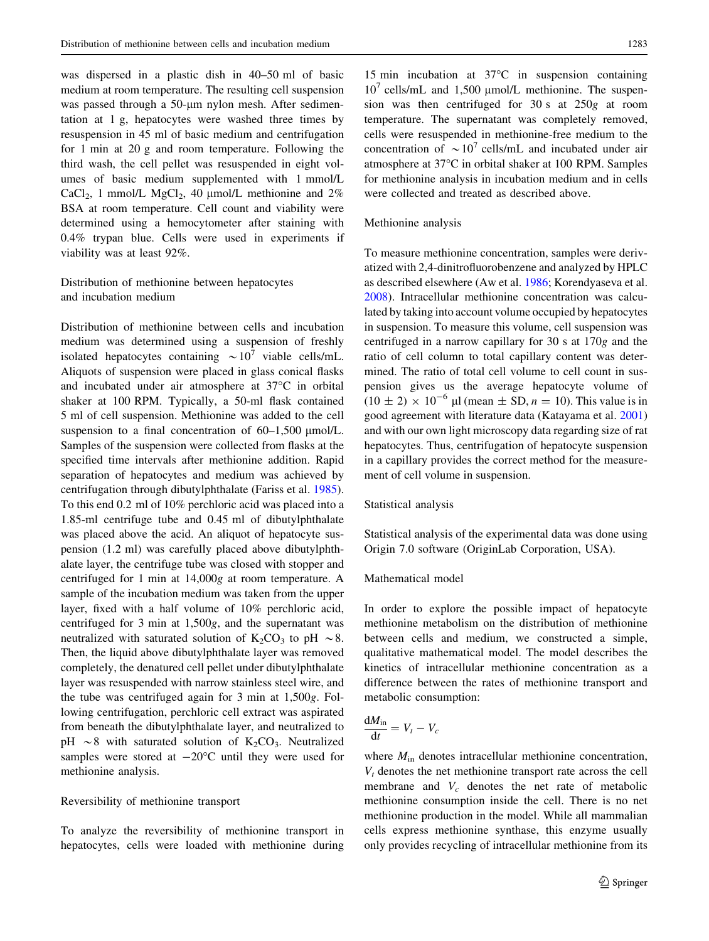was dispersed in a plastic dish in 40–50 ml of basic medium at room temperature. The resulting cell suspension was passed through a 50-um nylon mesh. After sedimentation at 1 g, hepatocytes were washed three times by resuspension in 45 ml of basic medium and centrifugation for 1 min at 20 g and room temperature. Following the third wash, the cell pellet was resuspended in eight volumes of basic medium supplemented with 1 mmol/L CaCl<sub>2</sub>, 1 mmol/L MgCl<sub>2</sub>, 40  $\mu$ mol/L methionine and 2% BSA at room temperature. Cell count and viability were determined using a hemocytometer after staining with 0.4% trypan blue. Cells were used in experiments if viability was at least 92%.

Distribution of methionine between hepatocytes and incubation medium

Distribution of methionine between cells and incubation medium was determined using a suspension of freshly isolated hepatocytes containing  $\sim 10^7$  viable cells/mL. Aliquots of suspension were placed in glass conical flasks and incubated under air atmosphere at  $37^{\circ}$ C in orbital shaker at 100 RPM. Typically, a 50-ml flask contained 5 ml of cell suspension. Methionine was added to the cell suspension to a final concentration of  $60-1,500 \mu$ mol/L. Samples of the suspension were collected from flasks at the specified time intervals after methionine addition. Rapid separation of hepatocytes and medium was achieved by centrifugation through dibutylphthalate (Fariss et al. [1985](#page-7-0)). To this end 0.2 ml of 10% perchloric acid was placed into a 1.85-ml centrifuge tube and 0.45 ml of dibutylphthalate was placed above the acid. An aliquot of hepatocyte suspension (1.2 ml) was carefully placed above dibutylphthalate layer, the centrifuge tube was closed with stopper and centrifuged for 1 min at 14,000g at room temperature. A sample of the incubation medium was taken from the upper layer, fixed with a half volume of 10% perchloric acid, centrifuged for 3 min at 1,500g, and the supernatant was neutralized with saturated solution of  $K_2CO_3$  to pH  $\sim$  8. Then, the liquid above dibutylphthalate layer was removed completely, the denatured cell pellet under dibutylphthalate layer was resuspended with narrow stainless steel wire, and the tube was centrifuged again for 3 min at 1,500g. Following centrifugation, perchloric cell extract was aspirated from beneath the dibutylphthalate layer, and neutralized to pH  $\sim$ 8 with saturated solution of K<sub>2</sub>CO<sub>3</sub>. Neutralized samples were stored at  $-20^{\circ}$ C until they were used for methionine analysis.

# Reversibility of methionine transport

To analyze the reversibility of methionine transport in hepatocytes, cells were loaded with methionine during

15 min incubation at  $37^{\circ}$ C in suspension containing  $10^7$  cells/mL and 1,500 µmol/L methionine. The suspension was then centrifuged for 30 s at 250g at room temperature. The supernatant was completely removed, cells were resuspended in methionine-free medium to the concentration of  $\sim 10^7$  cells/mL and incubated under air atmosphere at 37°C in orbital shaker at 100 RPM. Samples for methionine analysis in incubation medium and in cells were collected and treated as described above.

# Methionine analysis

To measure methionine concentration, samples were derivatized with 2,4-dinitrofluorobenzene and analyzed by HPLC as described elsewhere (Aw et al. [1986;](#page-7-0) Korendyaseva et al. [2008](#page-7-0)). Intracellular methionine concentration was calculated by taking into account volume occupied by hepatocytes in suspension. To measure this volume, cell suspension was centrifuged in a narrow capillary for 30 s at 170g and the ratio of cell column to total capillary content was determined. The ratio of total cell volume to cell count in suspension gives us the average hepatocyte volume of  $(10 \pm 2) \times 10^{-6}$  µl (mean  $\pm$  SD,  $n = 10$ ). This value is in good agreement with literature data (Katayama et al. [2001\)](#page-7-0) and with our own light microscopy data regarding size of rat hepatocytes. Thus, centrifugation of hepatocyte suspension in a capillary provides the correct method for the measurement of cell volume in suspension.

# Statistical analysis

Statistical analysis of the experimental data was done using Origin 7.0 software (OriginLab Corporation, USA).

#### Mathematical model

In order to explore the possible impact of hepatocyte methionine metabolism on the distribution of methionine between cells and medium, we constructed a simple, qualitative mathematical model. The model describes the kinetics of intracellular methionine concentration as a difference between the rates of methionine transport and metabolic consumption:

$$
\frac{\mathrm{d}M_{\rm in}}{\mathrm{d}t}=V_t-V_c
$$

where  $M_{\text{in}}$  denotes intracellular methionine concentration,  $V_t$  denotes the net methionine transport rate across the cell membrane and  $V_c$  denotes the net rate of metabolic methionine consumption inside the cell. There is no net methionine production in the model. While all mammalian cells express methionine synthase, this enzyme usually only provides recycling of intracellular methionine from its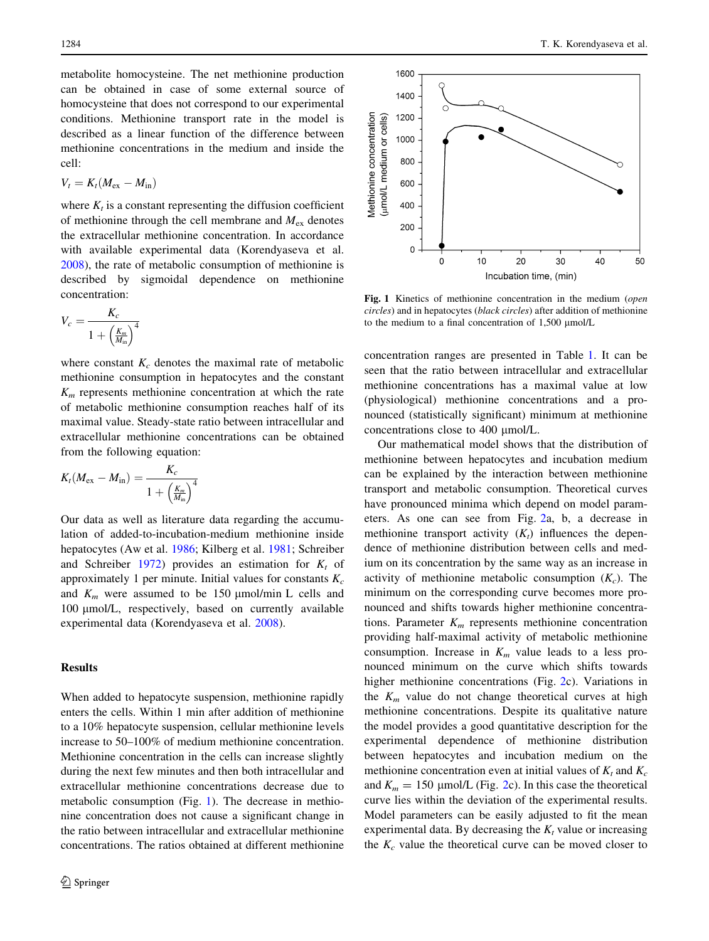<span id="page-3-0"></span>metabolite homocysteine. The net methionine production can be obtained in case of some external source of homocysteine that does not correspond to our experimental conditions. Methionine transport rate in the model is described as a linear function of the difference between methionine concentrations in the medium and inside the cell:

$$
V_t = K_t (M_{\rm ex} - M_{\rm in})
$$

where  $K_t$  is a constant representing the diffusion coefficient of methionine through the cell membrane and  $M_{ex}$  denotes the extracellular methionine concentration. In accordance with available experimental data (Korendyaseva et al. [2008\)](#page-7-0), the rate of metabolic consumption of methionine is described by sigmoidal dependence on methionine concentration:

$$
V_c = \frac{K_c}{1 + \left(\frac{K_m}{M_{\text{in}}}\right)^4}
$$

where constant  $K_c$  denotes the maximal rate of metabolic methionine consumption in hepatocytes and the constant  $K<sub>m</sub>$  represents methionine concentration at which the rate of metabolic methionine consumption reaches half of its maximal value. Steady-state ratio between intracellular and extracellular methionine concentrations can be obtained from the following equation:

$$
K_t(M_{\rm ex}-M_{\rm in})=\frac{K_c}{1+\left(\frac{K_m}{M_{\rm in}}\right)^4}
$$

Our data as well as literature data regarding the accumulation of added-to-incubation-medium methionine inside hepatocytes (Aw et al. [1986;](#page-7-0) Kilberg et al. [1981](#page-7-0); Schreiber and Schreiber [1972\)](#page-8-0) provides an estimation for  $K_t$  of approximately 1 per minute. Initial values for constants  $K_c$ and  $K_m$  were assumed to be 150 µmol/min L cells and 100 µmol/L, respectively, based on currently available experimental data (Korendyaseva et al. [2008](#page-7-0)).

# Results

When added to hepatocyte suspension, methionine rapidly enters the cells. Within 1 min after addition of methionine to a 10% hepatocyte suspension, cellular methionine levels increase to 50–100% of medium methionine concentration. Methionine concentration in the cells can increase slightly during the next few minutes and then both intracellular and extracellular methionine concentrations decrease due to metabolic consumption (Fig. 1). The decrease in methionine concentration does not cause a significant change in the ratio between intracellular and extracellular methionine concentrations. The ratios obtained at different methionine



Fig. 1 Kinetics of methionine concentration in the medium (open circles) and in hepatocytes (black circles) after addition of methionine to the medium to a final concentration of  $1,500 \mu$ mol/L

concentration ranges are presented in Table [1.](#page-4-0) It can be seen that the ratio between intracellular and extracellular methionine concentrations has a maximal value at low (physiological) methionine concentrations and a pronounced (statistically significant) minimum at methionine concentrations close to 400 µmol/L.

Our mathematical model shows that the distribution of methionine between hepatocytes and incubation medium can be explained by the interaction between methionine transport and metabolic consumption. Theoretical curves have pronounced minima which depend on model parameters. As one can see from Fig. [2](#page-5-0)a, b, a decrease in methionine transport activity  $(K_t)$  influences the dependence of methionine distribution between cells and medium on its concentration by the same way as an increase in activity of methionine metabolic consumption  $(K_c)$ . The minimum on the corresponding curve becomes more pronounced and shifts towards higher methionine concentrations. Parameter  $K_m$  represents methionine concentration providing half-maximal activity of metabolic methionine consumption. Increase in  $K_m$  value leads to a less pronounced minimum on the curve which shifts towards higher methionine concentrations (Fig. [2c](#page-5-0)). Variations in the  $K_m$  value do not change theoretical curves at high methionine concentrations. Despite its qualitative nature the model provides a good quantitative description for the experimental dependence of methionine distribution between hepatocytes and incubation medium on the methionine concentration even at initial values of  $K_t$  and  $K_c$ and  $K_m = 150 \text{ }\mu\text{mol/L}$  (Fig. [2](#page-5-0)c). In this case the theoretical curve lies within the deviation of the experimental results. Model parameters can be easily adjusted to fit the mean experimental data. By decreasing the  $K_t$  value or increasing the  $K_c$  value the theoretical curve can be moved closer to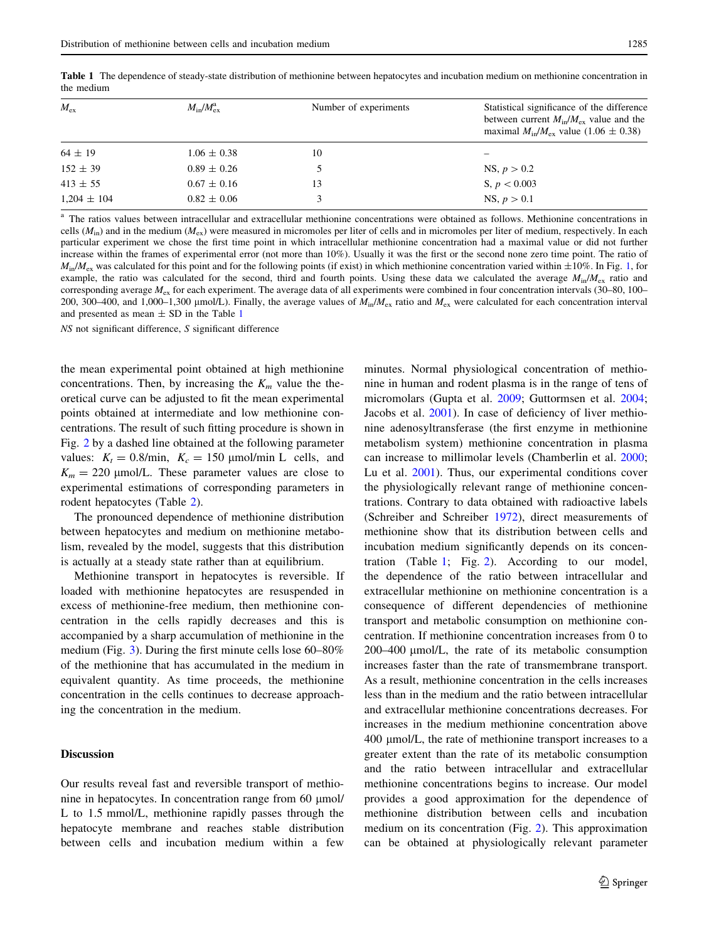| $M_{\rm ex}$    | $M_{\rm in}/M_{\rm ex}^{\rm a}$ | Number of experiments | Statistical significance of the difference<br>between current $M_{in}/M_{ex}$ value and the<br>maximal $M_{\text{in}}/M_{\text{ex}}$ value (1.06 $\pm$ 0.38) |
|-----------------|---------------------------------|-----------------------|--------------------------------------------------------------------------------------------------------------------------------------------------------------|
| $64 \pm 19$     | $1.06 \pm 0.38$                 | 10                    |                                                                                                                                                              |
| $152 \pm 39$    | $0.89 \pm 0.26$                 |                       | NS, $p > 0.2$                                                                                                                                                |
| $413 \pm 55$    | $0.67 \pm 0.16$                 | 13                    | S, $p < 0.003$                                                                                                                                               |
| $1.204 \pm 104$ | $0.82 \pm 0.06$                 |                       | NS, $p > 0.1$                                                                                                                                                |

<span id="page-4-0"></span>Table 1 The dependence of steady-state distribution of methionine between hepatocytes and incubation medium on methionine concentration in the medium

<sup>a</sup> The ratios values between intracellular and extracellular methionine concentrations were obtained as follows. Methionine concentrations in cells ( $M_{\text{in}}$ ) and in the medium ( $M_{\text{ex}}$ ) were measured in micromoles per liter of cells and in micromoles per liter of medium, respectively. In each particular experiment we chose the first time point in which intracellular methionine concentration had a maximal value or did not further increase within the frames of experimental error (not more than 10%). Usually it was the first or the second none zero time point. The ratio of  $M_{\text{in}}/M_{\text{ex}}$  was calculated for this point and for the following points (if exist) in which methionine concentration varied within  $\pm 10\%$  $\pm 10\%$  $\pm 10\%$ . In Fig. 1, for example, the ratio was calculated for the second, third and fourth points. Using these data we calculated the average  $M_{\text{in}}/M_{\text{ex}}$  ratio and corresponding average  $M_{ex}$  for each experiment. The average data of all experiments were combined in four concentration intervals (30–80, 100– 200, 300–400, and 1,000–1,300  $\mu$ mol/L). Finally, the average values of  $M_{in}/M_{ex}$  ratio and  $M_{ex}$  were calculated for each concentration interval and presented as mean  $\pm$  SD in the Table 1

NS not significant difference, S significant difference

the mean experimental point obtained at high methionine concentrations. Then, by increasing the  $K_m$  value the theoretical curve can be adjusted to fit the mean experimental points obtained at intermediate and low methionine concentrations. The result of such fitting procedure is shown in Fig. [2](#page-5-0) by a dashed line obtained at the following parameter values:  $K_t = 0.8/\text{min}$ ,  $K_c = 150 \text{ }\mu\text{mol/min}$  L cells, and  $K_m = 220 \text{ \mu}$ mol/L. These parameter values are close to experimental estimations of corresponding parameters in rodent hepatocytes (Table [2](#page-6-0)).

The pronounced dependence of methionine distribution between hepatocytes and medium on methionine metabolism, revealed by the model, suggests that this distribution is actually at a steady state rather than at equilibrium.

Methionine transport in hepatocytes is reversible. If loaded with methionine hepatocytes are resuspended in excess of methionine-free medium, then methionine concentration in the cells rapidly decreases and this is accompanied by a sharp accumulation of methionine in the medium (Fig. [3\)](#page-6-0). During the first minute cells lose 60–80% of the methionine that has accumulated in the medium in equivalent quantity. As time proceeds, the methionine concentration in the cells continues to decrease approaching the concentration in the medium.

# Discussion

Our results reveal fast and reversible transport of methionine in hepatocytes. In concentration range from  $60 \mu$ mol/ L to 1.5 mmol/L, methionine rapidly passes through the hepatocyte membrane and reaches stable distribution between cells and incubation medium within a few

minutes. Normal physiological concentration of methionine in human and rodent plasma is in the range of tens of micromolars (Gupta et al. [2009](#page-7-0); Guttormsen et al. [2004](#page-7-0); Jacobs et al. [2001](#page-7-0)). In case of deficiency of liver methionine adenosyltransferase (the first enzyme in methionine metabolism system) methionine concentration in plasma can increase to millimolar levels (Chamberlin et al. [2000](#page-7-0); Lu et al. [2001](#page-7-0)). Thus, our experimental conditions cover the physiologically relevant range of methionine concentrations. Contrary to data obtained with radioactive labels (Schreiber and Schreiber [1972](#page-8-0)), direct measurements of methionine show that its distribution between cells and incubation medium significantly depends on its concentration (Table 1; Fig. [2\)](#page-5-0). According to our model, the dependence of the ratio between intracellular and extracellular methionine on methionine concentration is a consequence of different dependencies of methionine transport and metabolic consumption on methionine concentration. If methionine concentration increases from 0 to 200–400 µmol/L, the rate of its metabolic consumption increases faster than the rate of transmembrane transport. As a result, methionine concentration in the cells increases less than in the medium and the ratio between intracellular and extracellular methionine concentrations decreases. For increases in the medium methionine concentration above 400 lmol/L, the rate of methionine transport increases to a greater extent than the rate of its metabolic consumption and the ratio between intracellular and extracellular methionine concentrations begins to increase. Our model provides a good approximation for the dependence of methionine distribution between cells and incubation medium on its concentration (Fig. [2\)](#page-5-0). This approximation can be obtained at physiologically relevant parameter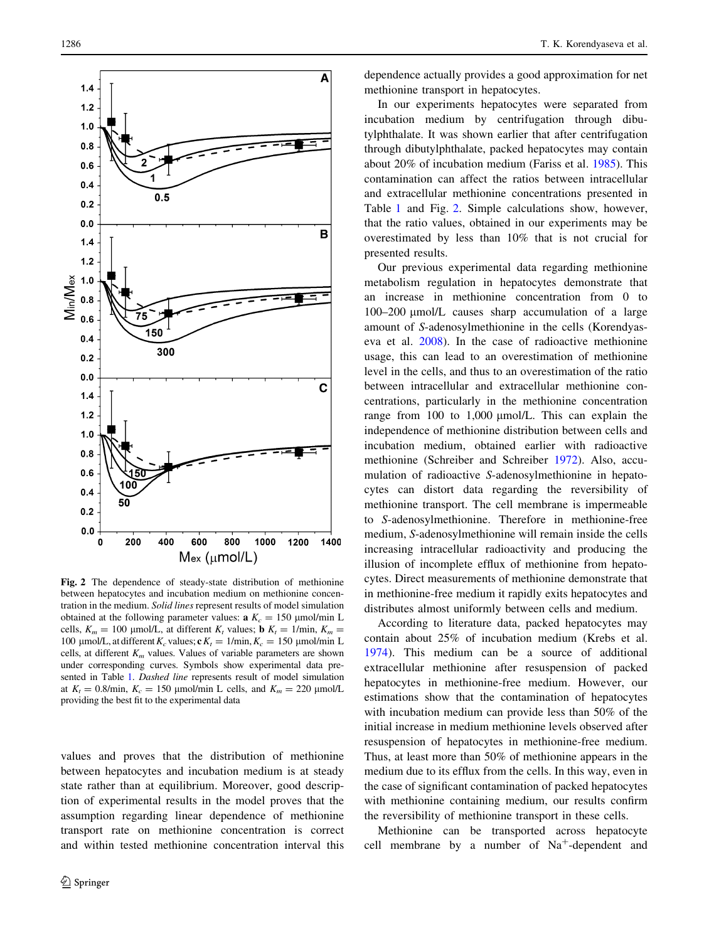<span id="page-5-0"></span>

Fig. 2 The dependence of steady-state distribution of methionine between hepatocytes and incubation medium on methionine concentration in the medium. Solid lines represent results of model simulation obtained at the following parameter values:  $a K_c = 150 \text{ }\mu\text{mol/min L}$ cells,  $K_m = 100 \text{ }\mu\text{mol/L}$ , at different  $K_t$  values; **b**  $K_t = 1/\text{min}$ ,  $K_m =$ 100 µmol/L, at different  $K_c$  values;  $c K_t = 1/\text{min}, K_c = 150 \text{ µmol/min L}$ cells, at different  $K_m$  values. Values of variable parameters are shown under corresponding curves. Symbols show experimental data presented in Table [1](#page-4-0). Dashed line represents result of model simulation at  $K_t = 0.8/\text{min}$ ,  $K_c = 150 \text{ }\mu\text{mol/min}$  L cells, and  $K_m = 220 \text{ }\mu\text{mol/L}$ providing the best fit to the experimental data

values and proves that the distribution of methionine between hepatocytes and incubation medium is at steady state rather than at equilibrium. Moreover, good description of experimental results in the model proves that the assumption regarding linear dependence of methionine transport rate on methionine concentration is correct and within tested methionine concentration interval this dependence actually provides a good approximation for net methionine transport in hepatocytes.

In our experiments hepatocytes were separated from incubation medium by centrifugation through dibutylphthalate. It was shown earlier that after centrifugation through dibutylphthalate, packed hepatocytes may contain about 20% of incubation medium (Fariss et al. [1985\)](#page-7-0). This contamination can affect the ratios between intracellular and extracellular methionine concentrations presented in Table [1](#page-4-0) and Fig. 2. Simple calculations show, however, that the ratio values, obtained in our experiments may be overestimated by less than 10% that is not crucial for presented results.

Our previous experimental data regarding methionine metabolism regulation in hepatocytes demonstrate that an increase in methionine concentration from 0 to 100–200 µmol/L causes sharp accumulation of a large amount of S-adenosylmethionine in the cells (Korendyaseva et al. [2008](#page-7-0)). In the case of radioactive methionine usage, this can lead to an overestimation of methionine level in the cells, and thus to an overestimation of the ratio between intracellular and extracellular methionine concentrations, particularly in the methionine concentration range from  $100$  to  $1,000$   $\mu$ mol/L. This can explain the independence of methionine distribution between cells and incubation medium, obtained earlier with radioactive methionine (Schreiber and Schreiber [1972\)](#page-8-0). Also, accumulation of radioactive S-adenosylmethionine in hepatocytes can distort data regarding the reversibility of methionine transport. The cell membrane is impermeable to S-adenosylmethionine. Therefore in methionine-free medium, S-adenosylmethionine will remain inside the cells increasing intracellular radioactivity and producing the illusion of incomplete efflux of methionine from hepatocytes. Direct measurements of methionine demonstrate that in methionine-free medium it rapidly exits hepatocytes and distributes almost uniformly between cells and medium.

According to literature data, packed hepatocytes may contain about 25% of incubation medium (Krebs et al. [1974](#page-7-0)). This medium can be a source of additional extracellular methionine after resuspension of packed hepatocytes in methionine-free medium. However, our estimations show that the contamination of hepatocytes with incubation medium can provide less than 50% of the initial increase in medium methionine levels observed after resuspension of hepatocytes in methionine-free medium. Thus, at least more than 50% of methionine appears in the medium due to its efflux from the cells. In this way, even in the case of significant contamination of packed hepatocytes with methionine containing medium, our results confirm the reversibility of methionine transport in these cells.

Methionine can be transported across hepatocyte cell membrane by a number of  $Na<sup>+</sup>$ -dependent and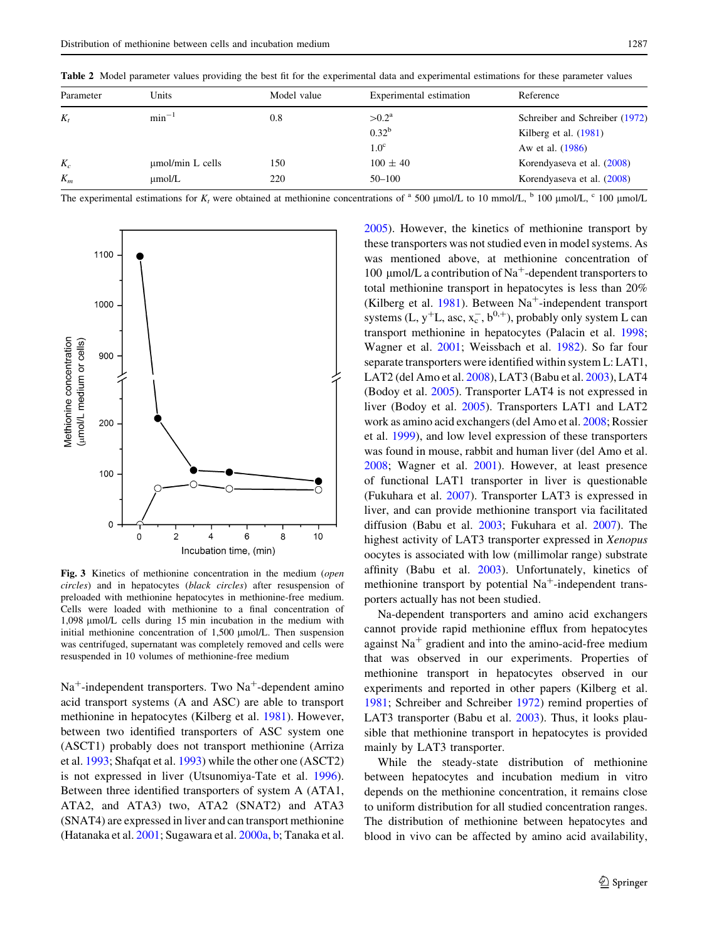| Parameter | Units                 | Model value | Experimental estimation | Reference                      |
|-----------|-----------------------|-------------|-------------------------|--------------------------------|
| $K_{t}$   | $min^{-1}$            | 0.8         | $>0.2^{\rm a}$          | Schreiber and Schreiber (1972) |
|           |                       |             | $0.32^{b}$              | Kilberg et al. $(1981)$        |
|           |                       |             | 1.0 <sup>c</sup>        | Aw et al. (1986)               |
| $K_c$     | $\mu$ mol/min L cells | 150         | $100 \pm 40$            | Korendyaseva et al. (2008)     |
| $K_m$     | µmol/L                | 220         | $50 - 100$              | Korendyaseva et al. (2008)     |

<span id="page-6-0"></span>Table 2 Model parameter values providing the best fit for the experimental data and experimental estimations for these parameter values

The experimental estimations for K, were obtained at methionine concentrations of <sup>a</sup> 500 µmol/L to 10 mmol/L, <sup>b</sup> 100 µmol/L, <sup>c</sup> 100 µmol/L



Fig. 3 Kinetics of methionine concentration in the medium (open circles) and in hepatocytes (black circles) after resuspension of preloaded with methionine hepatocytes in methionine-free medium. Cells were loaded with methionine to a final concentration of 1,098  $\mu$ mol/L cells during 15 min incubation in the medium with initial methionine concentration of  $1,500 \mu$ mol/L. Then suspension was centrifuged, supernatant was completely removed and cells were resuspended in 10 volumes of methionine-free medium

 $Na<sup>+</sup>$ -independent transporters. Two  $Na<sup>+</sup>$ -dependent amino acid transport systems (A and ASC) are able to transport methionine in hepatocytes (Kilberg et al. [1981](#page-7-0)). However, between two identified transporters of ASC system one (ASCT1) probably does not transport methionine (Arriza et al. [1993;](#page-7-0) Shafqat et al. [1993\)](#page-8-0) while the other one (ASCT2) is not expressed in liver (Utsunomiya-Tate et al. [1996](#page-8-0)). Between three identified transporters of system A (ATA1, ATA2, and ATA3) two, ATA2 (SNAT2) and ATA3 (SNAT4) are expressed in liver and can transport methionine (Hatanaka et al. [2001](#page-7-0); Sugawara et al. [2000a](#page-8-0), [b](#page-8-0); Tanaka et al. [2005](#page-8-0)). However, the kinetics of methionine transport by these transporters was not studied even in model systems. As was mentioned above, at methionine concentration of 100  $\mu$ mol/L a contribution of Na<sup>+</sup>-dependent transporters to total methionine transport in hepatocytes is less than 20% (Kilberg et al. [1981\)](#page-7-0). Between  $Na^+$ -independent transport systems (L,  $y^+L$ , asc,  $x_c^-, b^{0,+}$ ), probably only system L can transport methionine in hepatocytes (Palacin et al. [1998](#page-8-0); Wagner et al. [2001](#page-8-0); Weissbach et al. [1982\)](#page-8-0). So far four separate transporters were identified within system L: LAT1, LAT2 (del Amo et al. [2008\)](#page-7-0), LAT3 (Babu et al. [2003](#page-7-0)), LAT4 (Bodoy et al. [2005](#page-7-0)). Transporter LAT4 is not expressed in liver (Bodoy et al. [2005](#page-7-0)). Transporters LAT1 and LAT2 work as amino acid exchangers (del Amo et al. [2008;](#page-7-0) Rossier et al. [1999](#page-8-0)), and low level expression of these transporters was found in mouse, rabbit and human liver (del Amo et al. [2008](#page-7-0); Wagner et al. [2001](#page-8-0)). However, at least presence of functional LAT1 transporter in liver is questionable (Fukuhara et al. [2007](#page-7-0)). Transporter LAT3 is expressed in liver, and can provide methionine transport via facilitated diffusion (Babu et al. [2003](#page-7-0); Fukuhara et al. [2007](#page-7-0)). The highest activity of LAT3 transporter expressed in Xenopus oocytes is associated with low (millimolar range) substrate affinity (Babu et al. [2003\)](#page-7-0). Unfortunately, kinetics of methionine transport by potential  $Na<sup>+</sup>$ -independent transporters actually has not been studied.

Na-dependent transporters and amino acid exchangers cannot provide rapid methionine efflux from hepatocytes against  $Na<sup>+</sup>$  gradient and into the amino-acid-free medium that was observed in our experiments. Properties of methionine transport in hepatocytes observed in our experiments and reported in other papers (Kilberg et al. [1981](#page-7-0); Schreiber and Schreiber [1972\)](#page-8-0) remind properties of LAT3 transporter (Babu et al. [2003\)](#page-7-0). Thus, it looks plausible that methionine transport in hepatocytes is provided mainly by LAT3 transporter.

While the steady-state distribution of methionine between hepatocytes and incubation medium in vitro depends on the methionine concentration, it remains close to uniform distribution for all studied concentration ranges. The distribution of methionine between hepatocytes and blood in vivo can be affected by amino acid availability,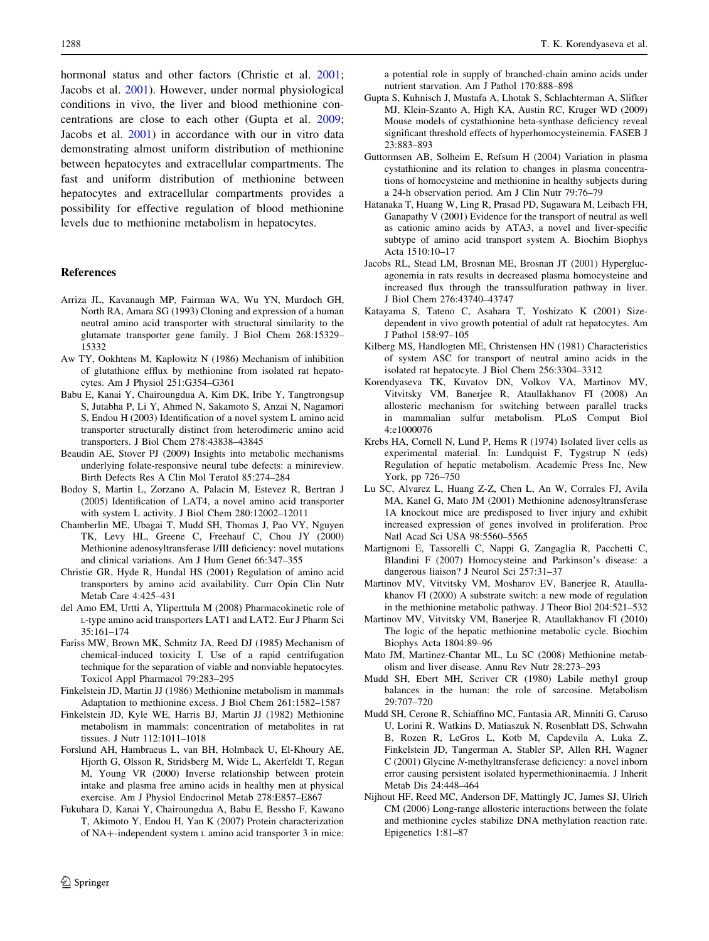<span id="page-7-0"></span>hormonal status and other factors (Christie et al. 2001; Jacobs et al. 2001). However, under normal physiological conditions in vivo, the liver and blood methionine concentrations are close to each other (Gupta et al. 2009; Jacobs et al. 2001) in accordance with our in vitro data demonstrating almost uniform distribution of methionine between hepatocytes and extracellular compartments. The fast and uniform distribution of methionine between hepatocytes and extracellular compartments provides a possibility for effective regulation of blood methionine levels due to methionine metabolism in hepatocytes.

## References

- Arriza JL, Kavanaugh MP, Fairman WA, Wu YN, Murdoch GH, North RA, Amara SG (1993) Cloning and expression of a human neutral amino acid transporter with structural similarity to the glutamate transporter gene family. J Biol Chem 268:15329– 15332
- Aw TY, Ookhtens M, Kaplowitz N (1986) Mechanism of inhibition of glutathione efflux by methionine from isolated rat hepatocytes. Am J Physiol 251:G354–G361
- Babu E, Kanai Y, Chairoungdua A, Kim DK, Iribe Y, Tangtrongsup S, Jutabha P, Li Y, Ahmed N, Sakamoto S, Anzai N, Nagamori S, Endou H (2003) Identification of a novel system L amino acid transporter structurally distinct from heterodimeric amino acid transporters. J Biol Chem 278:43838–43845
- Beaudin AE, Stover PJ (2009) Insights into metabolic mechanisms underlying folate-responsive neural tube defects: a minireview. Birth Defects Res A Clin Mol Teratol 85:274–284
- Bodoy S, Martin L, Zorzano A, Palacin M, Estevez R, Bertran J (2005) Identification of LAT4, a novel amino acid transporter with system L activity. J Biol Chem 280:12002–12011
- Chamberlin ME, Ubagai T, Mudd SH, Thomas J, Pao VY, Nguyen TK, Levy HL, Greene C, Freehauf C, Chou JY (2000) Methionine adenosyltransferase I/III deficiency: novel mutations and clinical variations. Am J Hum Genet 66:347–355
- Christie GR, Hyde R, Hundal HS (2001) Regulation of amino acid transporters by amino acid availability. Curr Opin Clin Nutr Metab Care 4:425–431
- del Amo EM, Urtti A, Yliperttula M (2008) Pharmacokinetic role of L-type amino acid transporters LAT1 and LAT2. Eur J Pharm Sci 35:161–174
- Fariss MW, Brown MK, Schmitz JA, Reed DJ (1985) Mechanism of chemical-induced toxicity I. Use of a rapid centrifugation technique for the separation of viable and nonviable hepatocytes. Toxicol Appl Pharmacol 79:283–295
- Finkelstein JD, Martin JJ (1986) Methionine metabolism in mammals Adaptation to methionine excess. J Biol Chem 261:1582–1587
- Finkelstein JD, Kyle WE, Harris BJ, Martin JJ (1982) Methionine metabolism in mammals: concentration of metabolites in rat tissues. J Nutr 112:1011–1018
- Forslund AH, Hambraeus L, van BH, Holmback U, El-Khoury AE, Hjorth G, Olsson R, Stridsberg M, Wide L, Akerfeldt T, Regan M, Young VR (2000) Inverse relationship between protein intake and plasma free amino acids in healthy men at physical exercise. Am J Physiol Endocrinol Metab 278:E857–E867
- Fukuhara D, Kanai Y, Chairoungdua A, Babu E, Bessho F, Kawano T, Akimoto Y, Endou H, Yan K (2007) Protein characterization of  $NA$ -independent system L amino acid transporter 3 in mice:

a potential role in supply of branched-chain amino acids under nutrient starvation. Am J Pathol 170:888–898

- Gupta S, Kuhnisch J, Mustafa A, Lhotak S, Schlachterman A, Slifker MJ, Klein-Szanto A, High KA, Austin RC, Kruger WD (2009) Mouse models of cystathionine beta-synthase deficiency reveal significant threshold effects of hyperhomocysteinemia. FASEB J 23:883–893
- Guttormsen AB, Solheim E, Refsum H (2004) Variation in plasma cystathionine and its relation to changes in plasma concentrations of homocysteine and methionine in healthy subjects during a 24-h observation period. Am J Clin Nutr 79:76–79
- Hatanaka T, Huang W, Ling R, Prasad PD, Sugawara M, Leibach FH, Ganapathy V (2001) Evidence for the transport of neutral as well as cationic amino acids by ATA3, a novel and liver-specific subtype of amino acid transport system A. Biochim Biophys Acta 1510:10–17
- Jacobs RL, Stead LM, Brosnan ME, Brosnan JT (2001) Hyperglucagonemia in rats results in decreased plasma homocysteine and increased flux through the transsulfuration pathway in liver. J Biol Chem 276:43740–43747
- Katayama S, Tateno C, Asahara T, Yoshizato K (2001) Sizedependent in vivo growth potential of adult rat hepatocytes. Am J Pathol 158:97–105
- Kilberg MS, Handlogten ME, Christensen HN (1981) Characteristics of system ASC for transport of neutral amino acids in the isolated rat hepatocyte. J Biol Chem 256:3304–3312
- Korendyaseva TK, Kuvatov DN, Volkov VA, Martinov MV, Vitvitsky VM, Banerjee R, Ataullakhanov FI (2008) An allosteric mechanism for switching between parallel tracks in mammalian sulfur metabolism. PLoS Comput Biol 4:e1000076
- Krebs HA, Cornell N, Lund P, Hems R (1974) Isolated liver cells as experimental material. In: Lundquist F, Tygstrup N (eds) Regulation of hepatic metabolism. Academic Press Inc, New York, pp 726–750
- Lu SC, Alvarez L, Huang Z-Z, Chen L, An W, Corrales FJ, Avila MA, Kanel G, Mato JM (2001) Methionine adenosyltransferase 1A knockout mice are predisposed to liver injury and exhibit increased expression of genes involved in proliferation. Proc Natl Acad Sci USA 98:5560–5565
- Martignoni E, Tassorelli C, Nappi G, Zangaglia R, Pacchetti C, Blandini F (2007) Homocysteine and Parkinson's disease: a dangerous liaison? J Neurol Sci 257:31–37
- Martinov MV, Vitvitsky VM, Mosharov EV, Banerjee R, Ataullakhanov FI (2000) A substrate switch: a new mode of regulation in the methionine metabolic pathway. J Theor Biol 204:521–532
- Martinov MV, Vitvitsky VM, Banerjee R, Ataullakhanov FI (2010) The logic of the hepatic methionine metabolic cycle. Biochim Biophys Acta 1804:89–96
- Mato JM, Martinez-Chantar ML, Lu SC (2008) Methionine metabolism and liver disease. Annu Rev Nutr 28:273–293
- Mudd SH, Ebert MH, Scriver CR (1980) Labile methyl group balances in the human: the role of sarcosine. Metabolism 29:707–720
- Mudd SH, Cerone R, Schiaffino MC, Fantasia AR, Minniti G, Caruso U, Lorini R, Watkins D, Matiaszuk N, Rosenblatt DS, Schwahn B, Rozen R, LeGros L, Kotb M, Capdevila A, Luka Z, Finkelstein JD, Tangerman A, Stabler SP, Allen RH, Wagner C (2001) Glycine N-methyltransferase deficiency: a novel inborn error causing persistent isolated hypermethioninaemia. J Inherit Metab Dis 24:448–464
- Nijhout HF, Reed MC, Anderson DF, Mattingly JC, James SJ, Ulrich CM (2006) Long-range allosteric interactions between the folate and methionine cycles stabilize DNA methylation reaction rate. Epigenetics 1:81–87